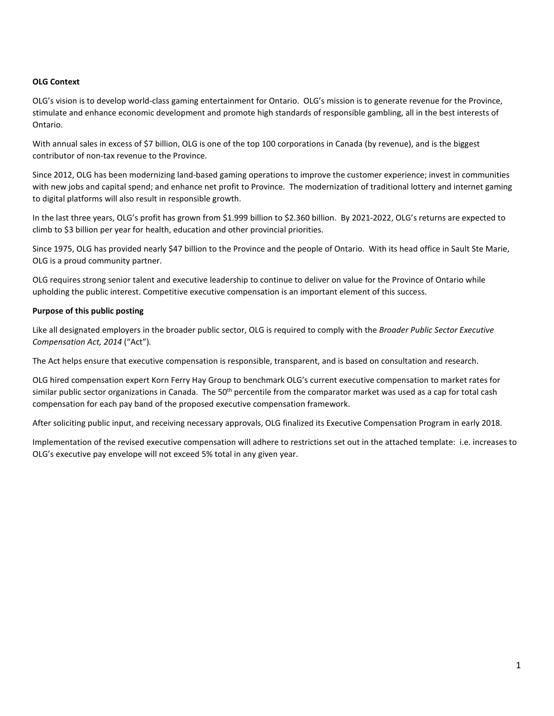#### **OLG Context**

OLG's vision is to develop world-class gaming entertainment for Ontario. OLG's mission is to generate revenue for the Province, stimulate and enhance economic development and promote high standards of responsible gambling, all in the best interests of Ontario.

With annual sales in excess of \$7 billion, OLG is one of the top 100 corporations in Canada (by revenue), and is the biggest contributor of non-tax revenue to the Province.

Since 2012, OLG has been modernizing land-based gaming operations to improve the customer experience; invest in communities with new jobs and capital spend; and enhance net profit to Province. The modernization of traditional lottery and internet gaming to digital platforms will also result in responsible growth.

In the last three years, OLG's profit has grown from \$1.999 billion to \$2.360 billion. By 2021-2022, OLG's returns are expected to climb to \$3 billion per year for health, education and other provincial priorities.

Since 1975, OLG has provided nearly \$47 billion to the Province and the people of Ontario. With its head office in Sault Ste Marie, OLG is a proud community partner.

OLG requires strong senior talent and executive leadership to continue to deliver on value for the Province of Ontario while upholding the public interest. Competitive executive compensation is an important element of this success.

#### **Purpose of this public posting**

Like all designated employers in the broader public sector, OLG is required to comply with the *Broader Public Sector Executive Compensation Act, 2014* ("Act")*.*

The Act helps ensure that executive compensation is responsible, transparent, and is based on consultation and research.

OLG hired compensation expert Korn Ferry Hay Group to benchmark OLG's current executive compensation to market rates for similar public sector organizations in Canada. The 50<sup>th</sup> percentile from the comparator market was used as a cap for total cash compensation for each pay band of the proposed executive compensation framework.

After soliciting public input, and receiving necessary approvals, OLG finalized its Executive Compensation Program in early 2018.

Implementation of the revised executive compensation will adhere to restrictions set out in the attached template: i.e. increases to OLG's executive pay envelope will not exceed 5% total in any given year.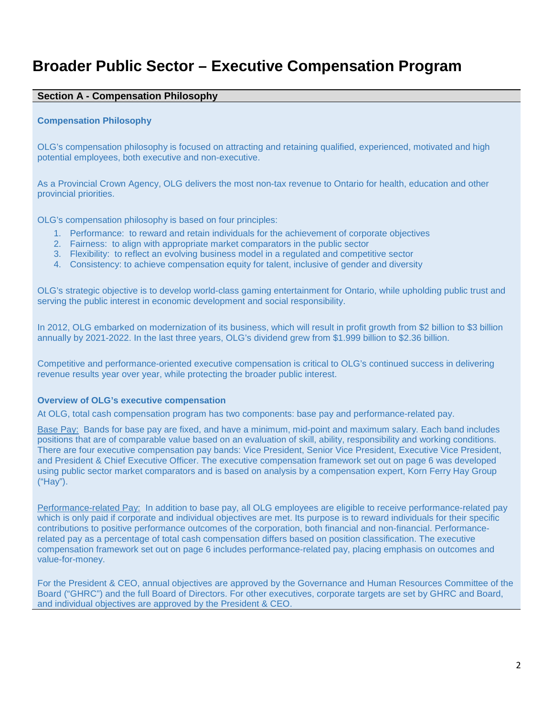# **Broader Public Sector – Executive Compensation Program**

## **Section A - Compensation Philosophy**

#### **Compensation Philosophy**

OLG's compensation philosophy is focused on attracting and retaining qualified, experienced, motivated and high potential employees, both executive and non-executive.

As a Provincial Crown Agency, OLG delivers the most non-tax revenue to Ontario for health, education and other provincial priorities.

OLG's compensation philosophy is based on four principles:

- 1. Performance: to reward and retain individuals for the achievement of corporate objectives
- 2. Fairness: to align with appropriate market comparators in the public sector
- 3. Flexibility: to reflect an evolving business model in a regulated and competitive sector
- 4. Consistency: to achieve compensation equity for talent, inclusive of gender and diversity

OLG's strategic objective is to develop world-class gaming entertainment for Ontario, while upholding public trust and serving the public interest in economic development and social responsibility.

In 2012, OLG embarked on modernization of its business, which will result in profit growth from \$2 billion to \$3 billion annually by 2021-2022. In the last three years, OLG's dividend grew from \$1.999 billion to \$2.36 billion.

Competitive and performance-oriented executive compensation is critical to OLG's continued success in delivering revenue results year over year, while protecting the broader public interest.

#### **Overview of OLG's executive compensation**

At OLG, total cash compensation program has two components: base pay and performance-related pay.

Base Pay: Bands for base pay are fixed, and have a minimum, mid-point and maximum salary. Each band includes positions that are of comparable value based on an evaluation of skill, ability, responsibility and working conditions. There are four executive compensation pay bands: Vice President, Senior Vice President, Executive Vice President, and President & Chief Executive Officer. The executive compensation framework set out on page 6 was developed using public sector market comparators and is based on analysis by a compensation expert, Korn Ferry Hay Group ("Hay").

Performance-related Pay: In addition to base pay, all OLG employees are eligible to receive performance-related pay which is only paid if corporate and individual objectives are met. Its purpose is to reward individuals for their specific contributions to positive performance outcomes of the corporation, both financial and non-financial. Performancerelated pay as a percentage of total cash compensation differs based on position classification. The executive compensation framework set out on page 6 includes performance-related pay, placing emphasis on outcomes and value-for-money.

For the President & CEO, annual objectives are approved by the Governance and Human Resources Committee of the Board ("GHRC") and the full Board of Directors. For other executives, corporate targets are set by GHRC and Board, and individual objectives are approved by the President & CEO.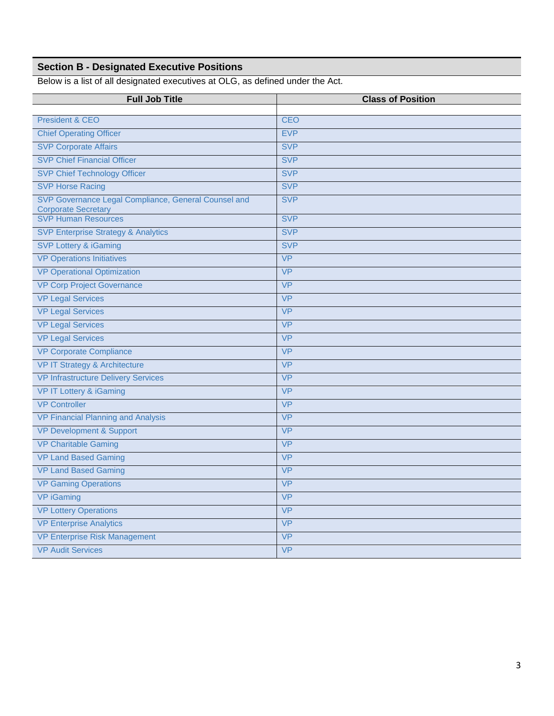## **Section B - Designated Executive Positions**

Below is a list of all designated executives at OLG, as defined under the Act.

| <b>Full Job Title</b>                                                              | <b>Class of Position</b> |
|------------------------------------------------------------------------------------|--------------------------|
| <b>President &amp; CEO</b>                                                         | <b>CEO</b>               |
| <b>Chief Operating Officer</b>                                                     | <b>EVP</b>               |
| <b>SVP Corporate Affairs</b>                                                       | <b>SVP</b>               |
| <b>SVP Chief Financial Officer</b>                                                 | <b>SVP</b>               |
| <b>SVP Chief Technology Officer</b>                                                | <b>SVP</b>               |
| <b>SVP Horse Racing</b>                                                            | <b>SVP</b>               |
| SVP Governance Legal Compliance, General Counsel and<br><b>Corporate Secretary</b> | <b>SVP</b>               |
| <b>SVP Human Resources</b>                                                         | <b>SVP</b>               |
| <b>SVP Enterprise Strategy &amp; Analytics</b>                                     | <b>SVP</b>               |
| <b>SVP Lottery &amp; iGaming</b>                                                   | <b>SVP</b>               |
| <b>VP Operations Initiatives</b>                                                   | <b>VP</b>                |
| <b>VP Operational Optimization</b>                                                 | <b>VP</b>                |
| <b>VP Corp Project Governance</b>                                                  | <b>VP</b>                |
| <b>VP Legal Services</b>                                                           | <b>VP</b>                |
| <b>VP Legal Services</b>                                                           | <b>VP</b>                |
| <b>VP Legal Services</b>                                                           | <b>VP</b>                |
| <b>VP Legal Services</b>                                                           | <b>VP</b>                |
| <b>VP Corporate Compliance</b>                                                     | <b>VP</b>                |
| VP IT Strategy & Architecture                                                      | <b>VP</b>                |
| <b>VP Infrastructure Delivery Services</b>                                         | <b>VP</b>                |
| <b>VP IT Lottery &amp; iGaming</b>                                                 | <b>VP</b>                |
| <b>VP Controller</b>                                                               | <b>VP</b>                |
| <b>VP Financial Planning and Analysis</b>                                          | <b>VP</b>                |
| <b>VP Development &amp; Support</b>                                                | <b>VP</b>                |
| <b>VP Charitable Gaming</b>                                                        | <b>VP</b>                |
| <b>VP Land Based Gaming</b>                                                        | <b>VP</b>                |
| <b>VP Land Based Gaming</b>                                                        | <b>VP</b>                |
| <b>VP Gaming Operations</b>                                                        | <b>VP</b>                |
| VP iGaming                                                                         | <b>VP</b>                |
| <b>VP Lottery Operations</b>                                                       | <b>VP</b>                |
| <b>VP Enterprise Analytics</b>                                                     | <b>VP</b>                |
| <b>VP Enterprise Risk Management</b>                                               | <b>VP</b>                |
| <b>VP Audit Services</b>                                                           | <b>VP</b>                |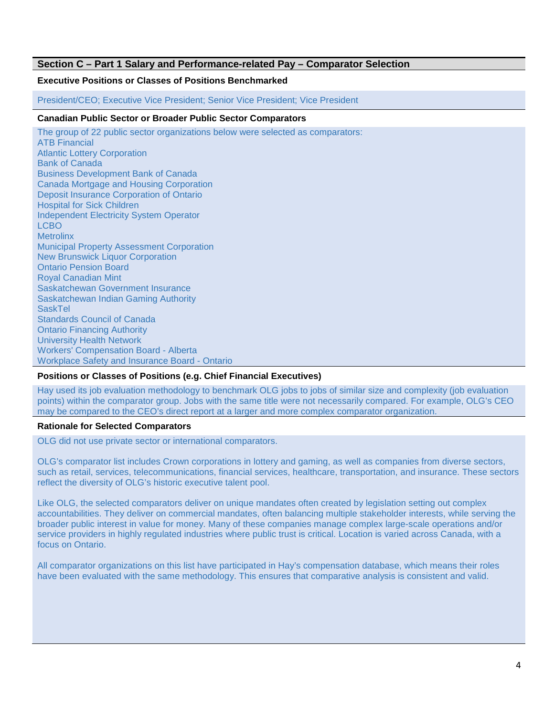## **Section C – Part 1 Salary and Performance-related Pay – Comparator Selection**

## **Executive Positions or Classes of Positions Benchmarked**

President/CEO; Executive Vice President; Senior Vice President; Vice President

#### **Canadian Public Sector or Broader Public Sector Comparators**

The group of 22 public sector organizations below were selected as comparators: ATB Financial Atlantic Lottery Corporation Bank of Canada Business Development Bank of Canada Canada Mortgage and Housing Corporation Deposit Insurance Corporation of Ontario Hospital for Sick Children Independent Electricity System Operator LCBO **Metrolinx** Municipal Property Assessment Corporation New Brunswick Liquor Corporation Ontario Pension Board Royal Canadian Mint Saskatchewan Government Insurance Saskatchewan Indian Gaming Authority **SaskTel** Standards Council of Canada Ontario Financing Authority University Health Network Workers' Compensation Board - Alberta Workplace Safety and Insurance Board - Ontario

### **Positions or Classes of Positions (e.g. Chief Financial Executives)**

Hay used its job evaluation methodology to benchmark OLG jobs to jobs of similar size and complexity (job evaluation points) within the comparator group. Jobs with the same title were not necessarily compared. For example, OLG's CEO may be compared to the CEO's direct report at a larger and more complex comparator organization.

#### **Rationale for Selected Comparators**

OLG did not use private sector or international comparators.

OLG's comparator list includes Crown corporations in lottery and gaming, as well as companies from diverse sectors, such as retail, services, telecommunications, financial services, healthcare, transportation, and insurance. These sectors reflect the diversity of OLG's historic executive talent pool.

Like OLG, the selected comparators deliver on unique mandates often created by legislation setting out complex accountabilities. They deliver on commercial mandates, often balancing multiple stakeholder interests, while serving the broader public interest in value for money. Many of these companies manage complex large-scale operations and/or service providers in highly regulated industries where public trust is critical. Location is varied across Canada, with a focus on Ontario.

All comparator organizations on this list have participated in Hay's compensation database, which means their roles have been evaluated with the same methodology. This ensures that comparative analysis is consistent and valid.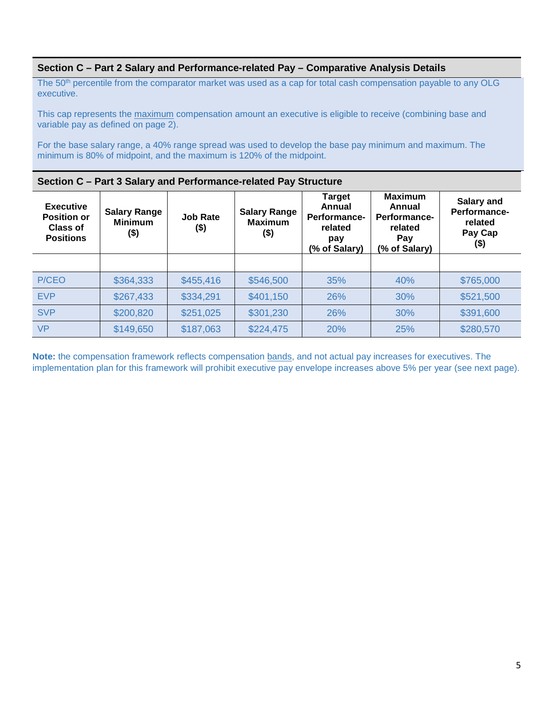## **Section C – Part 2 Salary and Performance-related Pay – Comparative Analysis Details**

The 50<sup>th</sup> percentile from the comparator market was used as a cap for total cash compensation payable to any OLG executive.

This cap represents the maximum compensation amount an executive is eligible to receive (combining base and variable pay as defined on page 2).

For the base salary range, a 40% range spread was used to develop the base pay minimum and maximum. The minimum is 80% of midpoint, and the maximum is 120% of the midpoint.

#### **Section C – Part 3 Salary and Performance-related Pay Structure**

| <b>Executive</b><br><b>Position or</b><br>Class of<br><b>Positions</b> | <b>Salary Range</b><br><b>Minimum</b><br>(\$) | <b>Job Rate</b><br>$($ \$) | <b>Salary Range</b><br><b>Maximum</b><br>(\$) | <b>Target</b><br>Annual<br>Performance-<br>related<br>pay<br>(% of Salary) | <b>Maximum</b><br>Annual<br>Performance-<br>related<br>Pay<br>(% of Salary) | Salary and<br>Performance-<br>related<br>Pay Cap<br>$($ \$) |
|------------------------------------------------------------------------|-----------------------------------------------|----------------------------|-----------------------------------------------|----------------------------------------------------------------------------|-----------------------------------------------------------------------------|-------------------------------------------------------------|
|                                                                        |                                               |                            |                                               |                                                                            |                                                                             |                                                             |
| P/CEO                                                                  | \$364,333                                     | \$455,416                  | \$546,500                                     | 35%                                                                        | 40%                                                                         | \$765,000                                                   |
| <b>EVP</b>                                                             | \$267,433                                     | \$334,291                  | \$401,150                                     | 26%                                                                        | 30%                                                                         | \$521,500                                                   |
| <b>SVP</b>                                                             | \$200,820                                     | \$251,025                  | \$301,230                                     | 26%                                                                        | 30%                                                                         | \$391,600                                                   |
| <b>VP</b>                                                              | \$149,650                                     | \$187,063                  | \$224,475                                     | 20%                                                                        | 25%                                                                         | \$280,570                                                   |

**Note:** the compensation framework reflects compensation bands, and not actual pay increases for executives. The implementation plan for this framework will prohibit executive pay envelope increases above 5% per year (see next page).